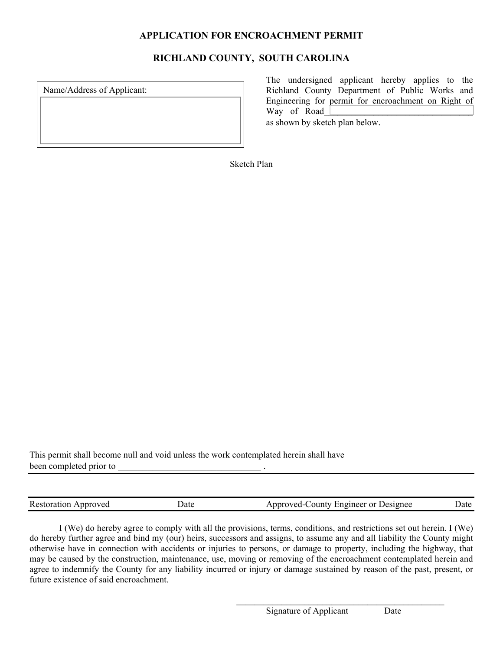## **APPLICATION FOR ENCROACHMENT PERMIT**

## **RICHLAND COUNTY, SOUTH CAROLINA**

Name/Address of Applicant:

 The undersigned applicant hereby applies to the Richland County Department of Public Works and Engineering for permit for encroachment on Right of Way of Road

as shown by sketch plan below.

Sketch Plan

This permit shall become null and void unless the work contemplated herein shall have been completed prior to  $\qquad \qquad$ 

| <b>Restoration Approved</b> | Jate | Approved-County Engineer or Designee | Jate |
|-----------------------------|------|--------------------------------------|------|
|-----------------------------|------|--------------------------------------|------|

I (We) do hereby agree to comply with all the provisions, terms, conditions, and restrictions set out herein. I (We) do hereby further agree and bind my (our) heirs, successors and assigns, to assume any and all liability the County might otherwise have in connection with accidents or injuries to persons, or damage to property, including the highway, that may be caused by the construction, maintenance, use, moving or removing of the encroachment contemplated herein and agree to indemnify the County for any liability incurred or injury or damage sustained by reason of the past, present, or future existence of said encroachment.

 $\mathcal{L}_\text{max}$  and the contract of the contract of the contract of the contract of the contract of the contract of the contract of the contract of the contract of the contract of the contract of the contract of the contrac